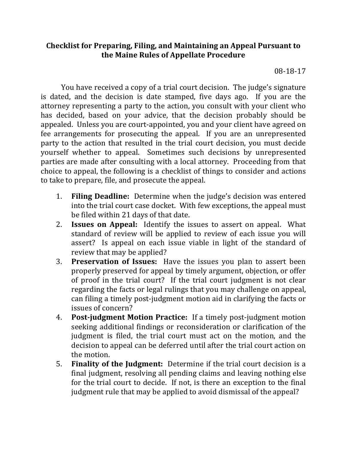## **Checklist for Preparing, Filing, and Maintaining an Appeal Pursuant to the Maine Rules of Appellate Procedure**

## 08-18-17

You have received a copy of a trial court decision. The judge's signature is dated, and the decision is date stamped, five days ago. If you are the attorney representing a party to the action, you consult with your client who has decided, based on your advice, that the decision probably should be appealed. Unless you are court-appointed, you and your client have agreed on fee arrangements for prosecuting the appeal. If you are an unrepresented party to the action that resulted in the trial court decision, you must decide yourself whether to appeal. Sometimes such decisions by unrepresented parties are made after consulting with a local attorney. Proceeding from that choice to appeal, the following is a checklist of things to consider and actions to take to prepare, file, and prosecute the appeal.

- 1. **Filing Deadline:** Determine when the judge's decision was entered into the trial court case docket. With few exceptions, the appeal must be filed within 21 days of that date.
- 2. **Issues on Appeal:** Identify the issues to assert on appeal. What standard of review will be applied to review of each issue you will assert? Is appeal on each issue viable in light of the standard of review that may be applied?
- 3. **Preservation of Issues:** Have the issues you plan to assert been properly preserved for appeal by timely argument, objection, or offer of proof in the trial court? If the trial court judgment is not clear regarding the facts or legal rulings that you may challenge on appeal, can filing a timely post-judgment motion aid in clarifying the facts or issues of concern?
- 4. **Post-judgment Motion Practice:** If a timely post-judgment motion seeking additional findings or reconsideration or clarification of the judgment is filed, the trial court must act on the motion, and the decision to appeal can be deferred until after the trial court action on the motion.
- 5. **Finality of the Judgment:** Determine if the trial court decision is a final judgment, resolving all pending claims and leaving nothing else for the trial court to decide. If not, is there an exception to the final judgment rule that may be applied to avoid dismissal of the appeal?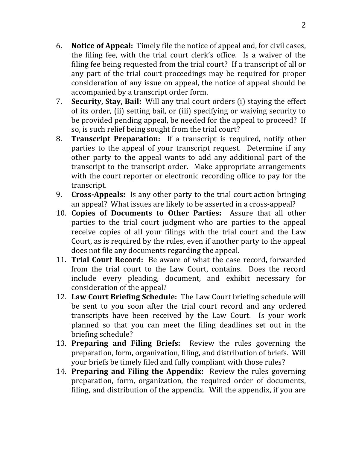- 6. **Notice of Appeal:** Timely file the notice of appeal and, for civil cases, the filing fee, with the trial court clerk's office. Is a waiver of the filing fee being requested from the trial court? If a transcript of all or any part of the trial court proceedings may be required for proper consideration of any issue on appeal, the notice of appeal should be accompanied by a transcript order form.
- 7. **Security, Stay, Bail:** Will any trial court orders (i) staying the effect of its order, (ii) setting bail, or (iii) specifying or waiving security to be provided pending appeal, be needed for the appeal to proceed? If so, is such relief being sought from the trial court?
- 8. **Transcript Preparation:** If a transcript is required, notify other parties to the appeal of your transcript request. Determine if any other party to the appeal wants to add any additional part of the transcript to the transcript order. Make appropriate arrangements with the court reporter or electronic recording office to pay for the transcript.
- 9. **Cross-Appeals:** Is any other party to the trial court action bringing an appeal? What issues are likely to be asserted in a cross-appeal?
- 10. **Copies of Documents to Other Parties:** Assure that all other parties to the trial court judgment who are parties to the appeal receive copies of all your filings with the trial court and the Law Court, as is required by the rules, even if another party to the appeal does not file any documents regarding the appeal.
- **11. Trial Court Record:** Be aware of what the case record, forwarded from the trial court to the Law Court, contains. Does the record include every pleading, document, and exhibit necessary for consideration of the appeal?
- 12. Law Court Briefing Schedule: The Law Court briefing schedule will be sent to you soon after the trial court record and any ordered transcripts have been received by the Law Court. Is your work planned so that you can meet the filing deadlines set out in the briefing schedule?
- 13. **Preparing and Filing Briefs:** Review the rules governing the preparation, form, organization, filing, and distribution of briefs. Will your briefs be timely filed and fully compliant with those rules?
- 14. **Preparing and Filing the Appendix:** Review the rules governing preparation, form, organization, the required order of documents, filing, and distribution of the appendix. Will the appendix, if you are